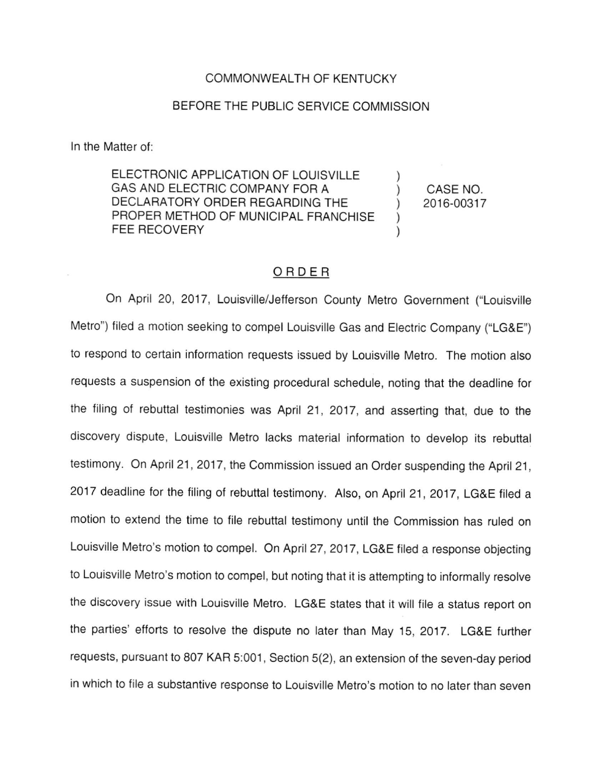#### COMMONWEALTH OF KENTUCKY

### BEFORE THE PUBLIC SERVICE COMMISSION

In the Matter of:

ELECTRONIC APPLICATION OF LOUISVILLE GAS AND ELECTRIC COMPANY FOR A DECLARATORY ORDER REGARDING THE PROPER METHOD OF MUNICIPAL FRANCHISE FEE RECOVERY

CASE NO. 2016-00317

 $\mathcal{E}$ 

## ORDER

On April 20, 2017, Louisville/Jefferson County Metro Government ("Louisville Metro") filed a motion seeking to compel Louisville Gas and Electric Company ("LG&E") to respond to certain information requests issued by Louisville Metro. The motion also requests a suspension of the existing procedural schedule, noting that the deadline for the filing of rebuttal testimonies was April 21, 2017, and asserting that, due to the discovery dispute, Louisville Metro lacks material information to develop its rebuttal testimony. On April 21, 2017, the Commission issued an Order suspending the April 21, 2017 deadline for the filing of rebuttal testimony. Also, on April 21, 2017, LG&E filed a motion to extend the time to file rebuttal testimony until the Commission has ruled on Louisville Metro's motion to compel. On April 27, 2017, LG&E filed a response objecting to Louisville Metro's motion to compel, but noting that it is attempting to informally resolve the discovery issue with Louisville Metro. LG&E states that it will file a status report on the parties' efforts to resolve the dispute no later than May 15, 2017. LG&E further requests, pursuant to 807 KAR 5:001, Section 5(2), an extension of the seven-day period in which to file a substantive response to Louisville Metro's motion to no later than seven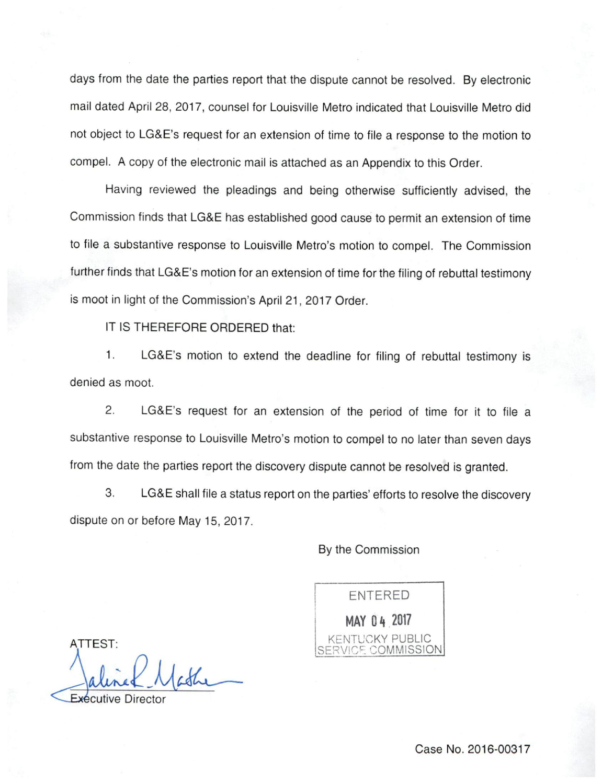days from the date the parties report that the dispute cannot be resolved. By electronic mail dated April 28, 2017, counsel for Louisville Metro indicated that Louisville Metro did not object to LG&E's request for an extension of time to file a response to the motion to compel. A copy of the electronic mail is attached as an Appendix to this Order.

Having reviewed the pleadings and being otherwise sufficiently advised, the Commission finds that LG&E has established good cause to permit an extension of time to file a substantive response to Louisville Metro's motion to compel. The Commission further finds that LG&E's motion for an extension of time for the filing of rebuttal testimony is moot in light of the Commission's April 21, 2017 Order.

IT IS THEREFORE ORDERED that:

1. LG&E's motion to extend the deadline for filing of rebuttal testimony is denied as moot.

2. LG&E's request for an extension of the period of time for it to file a substantive response to Louisville Metro's motion to compel to no later than seven days from the date the parties report the discovery dispute cannot be resolved is granted.

3. LG&E shall file a status report on the parties' efforts to resolve the discovery dispute on or before May 15, 2017.

By the Commission



TTEST:

Exécutive Director

Case No. 2016-00317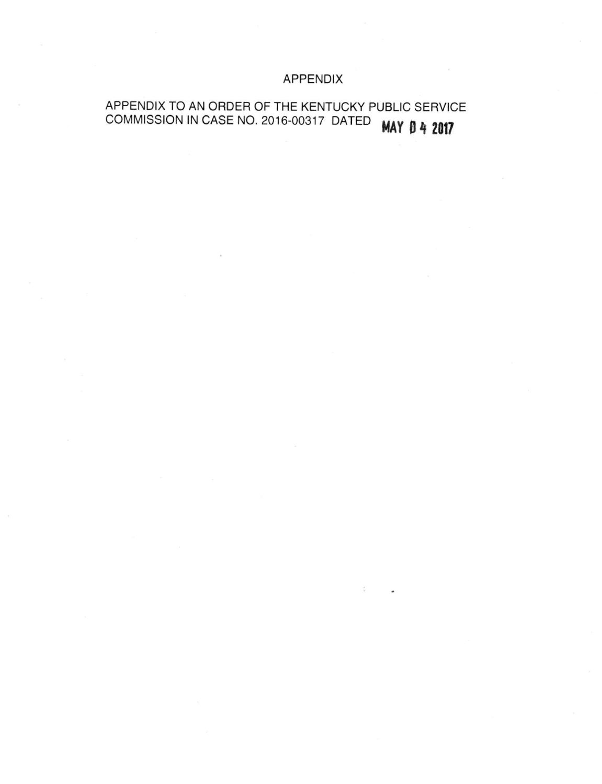## APPENDIX

# APPENDIX TO AN ORDER OF THE KENTUCKY PUBLIC SERVICE COMMISSION IN CASE NO. 2016-00317 DATED **MAY 0 4 2017**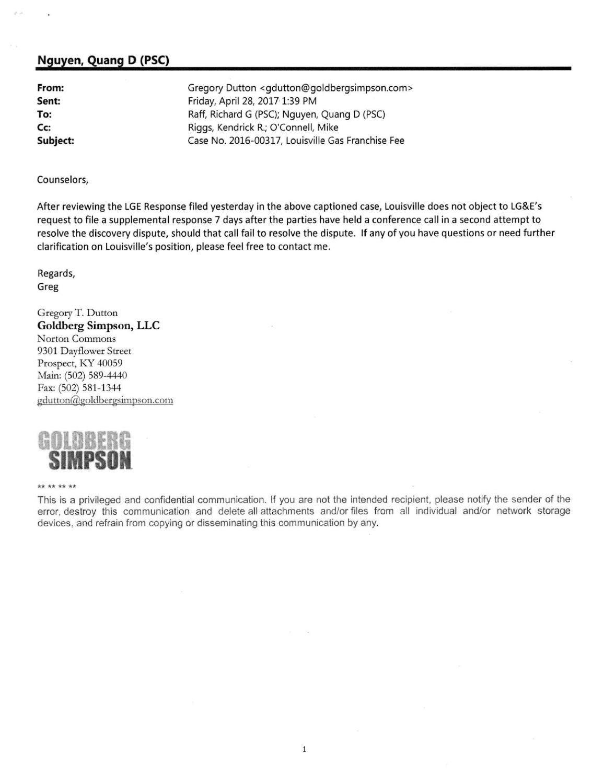## Nguyen, Quang D (PSC)

From: Sent: To: Cc: Subject: Gregory Dutton <gdutton@goldbergsimpson.com> Friday, April 28, 2017 1:39 PM Raff, Richard G (PSC); Nguyen, Quang D (PSC) Riggs, Kendrick R.; O'Connell, Mike Case No. 2016-00317, Louisville Gas Franchise Fee

Counselors,

After reviewing the LGE Response filed yesterday in the above captioned case, Louisville does not object to LG&E's request to file a supplemental response 7 days after the parties have held a conference call in a second attempt to resolve the discovery dispute, should that call fail to resolve the dispute. Ifany of you have questions or need further clarification on Louisville's position, please feel free to contact me.

Regards, Greg

Gregory T. Dutton Goldberg Simpson, LLC Norton Commons 9301 Dayflower Street Prospect, KY 40059 Main: (502) 589-4440 Fax: (502) 581-1344 gdutton@goldbergsimpson.com



\*\* \*\* \*\* \*\*

This is a privileged and confidential communication. If you are not the intended recipient, please notify the sender of the error, destroy this communication and delete all attachments and/or files from all individual and/or network storage devices, and refrain from copying or disseminating this communication by any.